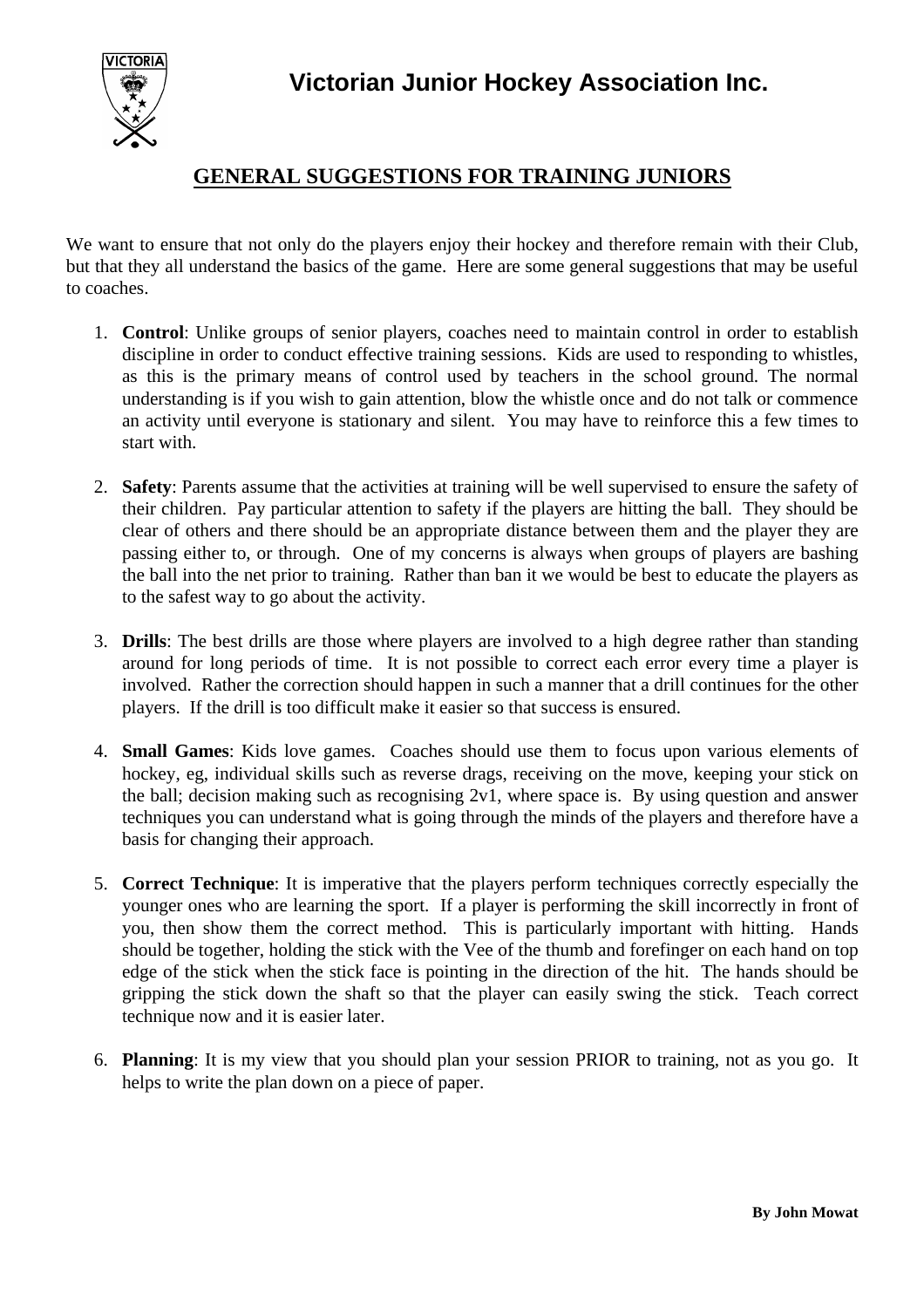**Victorian Junior Hockey Association Inc.**



## **GENERAL SUGGESTIONS FOR TRAINING JUNIORS**

We want to ensure that not only do the players enjoy their hockey and therefore remain with their Club, but that they all understand the basics of the game. Here are some general suggestions that may be useful to coaches.

- 1. **Control**: Unlike groups of senior players, coaches need to maintain control in order to establish discipline in order to conduct effective training sessions. Kids are used to responding to whistles, as this is the primary means of control used by teachers in the school ground. The normal understanding is if you wish to gain attention, blow the whistle once and do not talk or commence an activity until everyone is stationary and silent. You may have to reinforce this a few times to start with.
- 2. **Safety**: Parents assume that the activities at training will be well supervised to ensure the safety of their children. Pay particular attention to safety if the players are hitting the ball. They should be clear of others and there should be an appropriate distance between them and the player they are passing either to, or through. One of my concerns is always when groups of players are bashing the ball into the net prior to training. Rather than ban it we would be best to educate the players as to the safest way to go about the activity.
- 3. **Drills**: The best drills are those where players are involved to a high degree rather than standing around for long periods of time. It is not possible to correct each error every time a player is involved. Rather the correction should happen in such a manner that a drill continues for the other players. If the drill is too difficult make it easier so that success is ensured.
- 4. **Small Games**: Kids love games. Coaches should use them to focus upon various elements of hockey, eg, individual skills such as reverse drags, receiving on the move, keeping your stick on the ball; decision making such as recognising 2v1, where space is. By using question and answer techniques you can understand what is going through the minds of the players and therefore have a basis for changing their approach.
- 5. **Correct Technique**: It is imperative that the players perform techniques correctly especially the younger ones who are learning the sport. If a player is performing the skill incorrectly in front of you, then show them the correct method. This is particularly important with hitting. Hands should be together, holding the stick with the Vee of the thumb and forefinger on each hand on top edge of the stick when the stick face is pointing in the direction of the hit. The hands should be gripping the stick down the shaft so that the player can easily swing the stick. Teach correct technique now and it is easier later.
- 6. **Planning**: It is my view that you should plan your session PRIOR to training, not as you go. It helps to write the plan down on a piece of paper.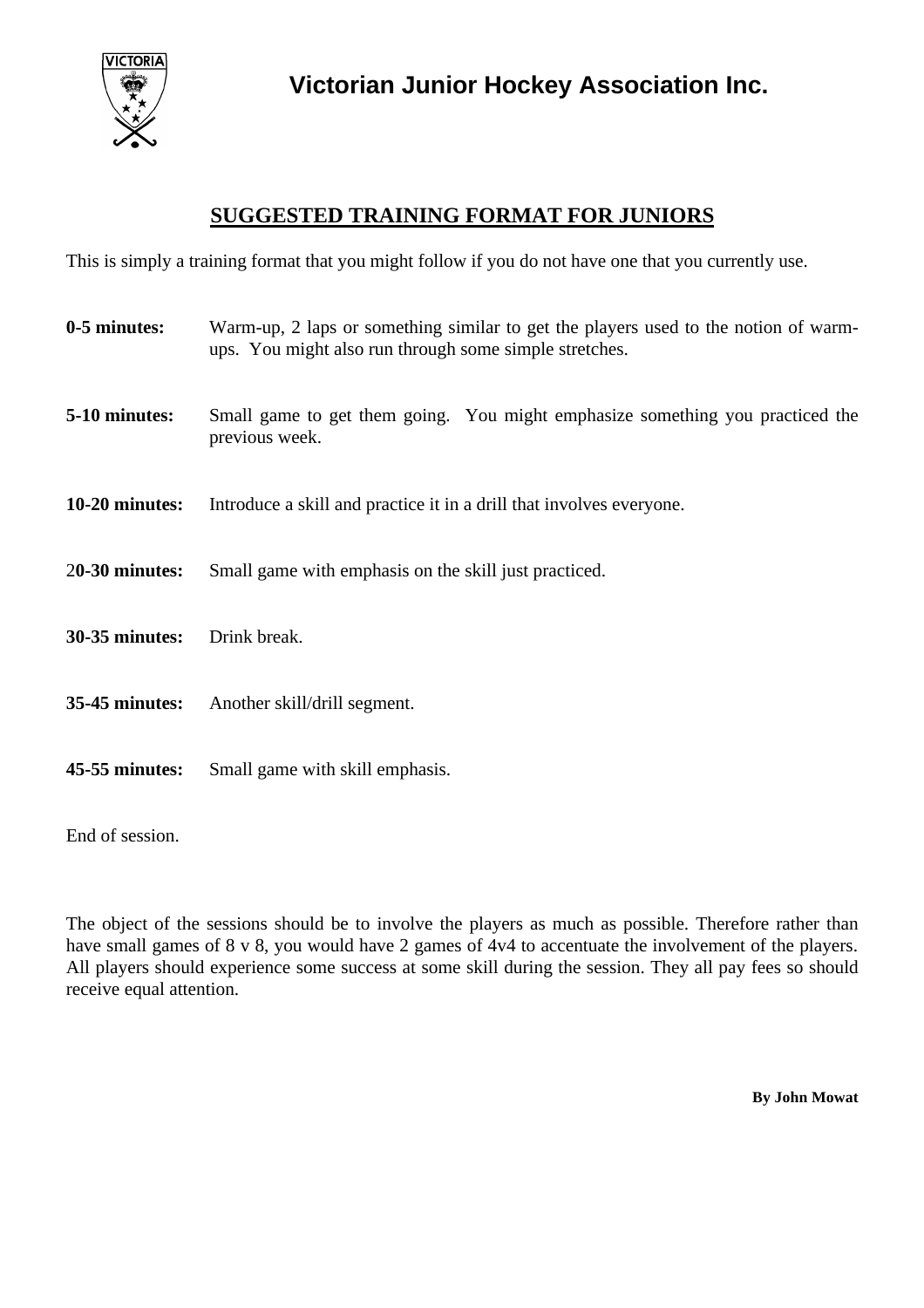

## **SUGGESTED TRAINING FORMAT FOR JUNIORS**

This is simply a training format that you might follow if you do not have one that you currently use.

| 0-5 minutes:          | Warm-up, 2 laps or something similar to get the players used to the notion of warm-<br>ups. You might also run through some simple stretches. |
|-----------------------|-----------------------------------------------------------------------------------------------------------------------------------------------|
| 5-10 minutes:         | Small game to get them going. You might emphasize something you practiced the<br>previous week.                                               |
| 10-20 minutes:        | Introduce a skill and practice it in a drill that involves everyone.                                                                          |
| $20-30$ minutes:      | Small game with emphasis on the skill just practiced.                                                                                         |
| <b>30-35 minutes:</b> | Drink break.                                                                                                                                  |
|                       | <b>35-45 minutes:</b> Another skill/drill segment.                                                                                            |
| 45-55 minutes:        | Small game with skill emphasis.                                                                                                               |

End of session.

The object of the sessions should be to involve the players as much as possible. Therefore rather than have small games of 8 v 8, you would have 2 games of 4v4 to accentuate the involvement of the players. All players should experience some success at some skill during the session. They all pay fees so should receive equal attention.